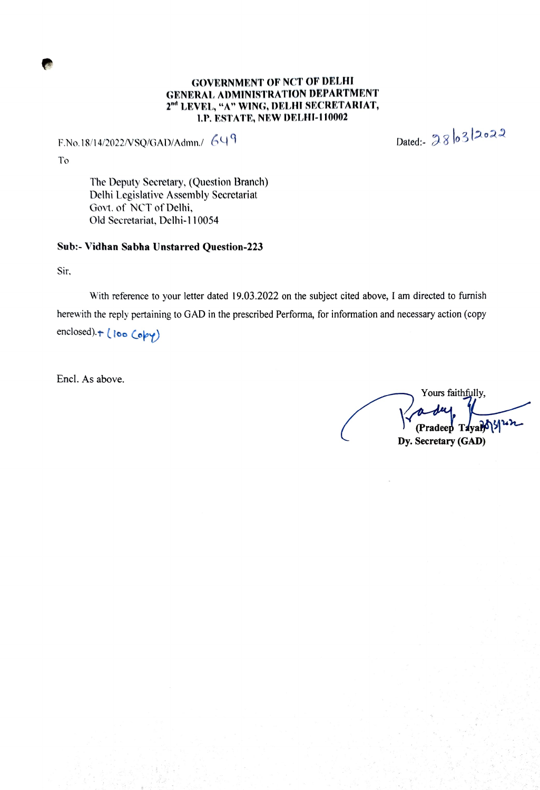#### GOVERNMENT OF NCT OF DELHI GENERAL ADMINISTRATION DEPARTMENT 2nd LEVEL, "A" WING, DELHI SECRETARIAT, 1.P. ESTATE, NEW DELHI-110002

F.No.18/14/2022/VSQ/GAD/Admn./ 649<br>Dated:-  $386320$ 

To

The Deputy Secretary, (Question Branch) Delhi Legislative Assembly Secretariat Govt. of NCT of Delhi, Old Secretariat, Delhi-110054

#### Sub:- Vidhan Sabha Unstarred Question-223

Sir.

With reference to your letter dated 19.03.2022 on the subject cited above, I am directed to furnish herewith the reply pertaining to GAD in the prescribed Performa, for information and necessary action (copy enclosed) + (loo Copy)

Encl. As above.

Yours faithfully, (Pradeep Taval) Dy. Secretary (GAD)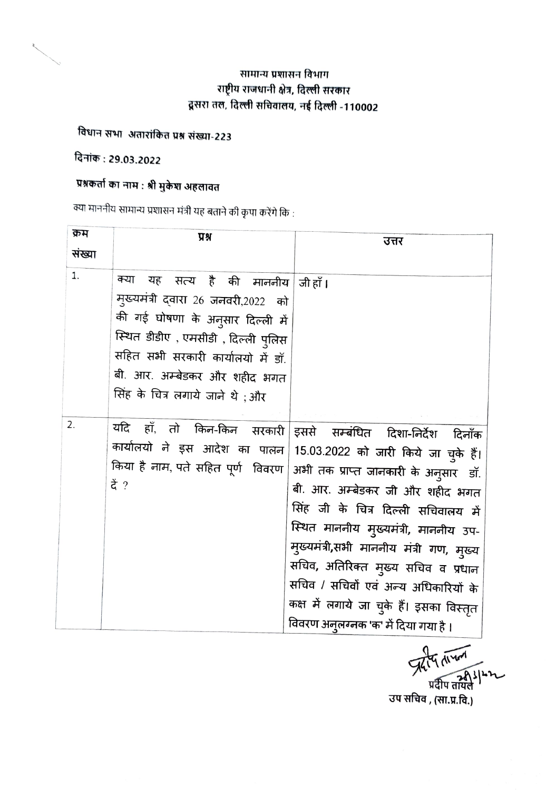### सामान्य प्रशासन विभाग राष्ट्रीय राजधानी क्षेत्र, दिल्ली सरकार दूसरा तल, दिल्ली सचिवालय, नई दिल्ली -110002

## विधान सभा अतारांकित प्रश्न संख्या-223

### दिनांक : 29.03.2022

# प्रश्नकर्ता का नाम : श्री मुकेश अहलावत

, क्या माननीय सामान्य प्रशासन मंत्री यह बताने की कृपा करेंगे कि

| क्रम   | प्रश्न                                                                                                                                                                                                                                                 | उत्तर                                                                                                                                                                                                                                                                                                                                                                                                                                                |
|--------|--------------------------------------------------------------------------------------------------------------------------------------------------------------------------------------------------------------------------------------------------------|------------------------------------------------------------------------------------------------------------------------------------------------------------------------------------------------------------------------------------------------------------------------------------------------------------------------------------------------------------------------------------------------------------------------------------------------------|
| संख्या |                                                                                                                                                                                                                                                        |                                                                                                                                                                                                                                                                                                                                                                                                                                                      |
| 1.     | क्या<br>यह सत्य है की माननीय<br>मुख्यमंत्री द्वारा 26 जनवरी,2022 को<br>की गई घोषणा के अनुसार दिल्ली में<br>स्थित डीडीए , एमसीडी , दिल्ली पुलिस<br>सहित सभी सरकारी कार्यालयो में डॉ.<br>बी. आर. अम्बेडकर और शहीद भगत<br>सिंह के चित्र लगाये जाने थे ;और | जी हाँ ।                                                                                                                                                                                                                                                                                                                                                                                                                                             |
| 2.     | यदि<br>हाँ, तो किन-किन सरकारी<br>कार्यालयो ने इस आदेश का पालन<br>किया है नाम, पते सहित पूर्ण विवरण<br>दें ?                                                                                                                                            | इससे सम्बंधित दिशा-निर्देश<br>दिनॉक<br>15.03.2022 को जारी किये जा चुके हैं।<br>अभी तक प्राप्त जानकारी के अनुसार<br>डॉ.<br>बी. आर. अम्बेडकर जी और शहीद भगत<br>सिंह जी के चित्र दिल्ली सचिवालय में<br>स्थित माननीय मुख्यमंत्री, माननीय उप-<br>मुख्यमंत्री,सभी माननीय मंत्री गण, मुख्य<br>सचिव, अतिरिक्त मुख्य सचिव व प्रधान<br>सचिव / सचिवों एवं अन्य अधिकारियों के<br>कक्ष में लगाये जा चुके हैं। इसका विस्तृत<br>विवरण अन्तरनक 'क' में दिया गया है । |

This man उप सचिव , (सा.प्र.वि.)